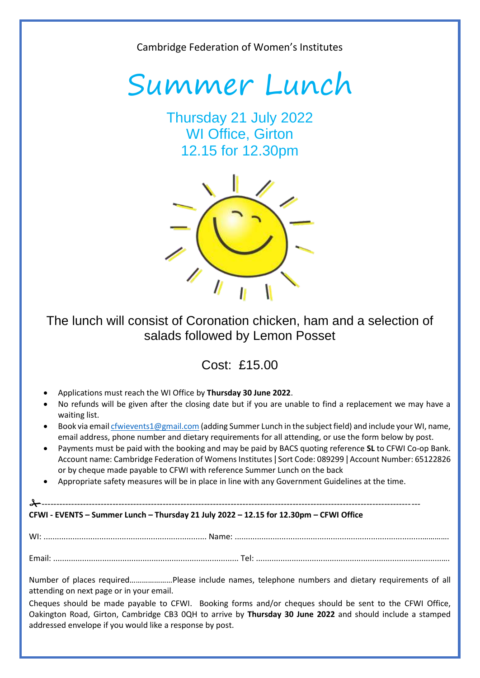Cambridge Federation of Women's Institutes



Thursday 21 July 2022 WI Office, Girton 12.15 for 12.30pm



## The lunch will consist of Coronation chicken, ham and a selection of salads followed by Lemon Posset

Cost: £15.00

- Applications must reach the WI Office by **Thursday 30 June 2022**.
- No refunds will be given after the closing date but if you are unable to find a replacement we may have a waiting list.
- Book via emai[l cfwievents1@gmail.com](mailto:cfwievents1@gmail.com) (adding Summer Lunch in the subject field) and include your WI, name, email address, phone number and dietary requirements for all attending, or use the form below by post.
- Payments must be paid with the booking and may be paid by BACS quoting reference **SL** to CFWI Co-op Bank. Account name: Cambridge Federation of Womens Institutes | Sort Code: 089299 | Account Number: 65122826 or by cheque made payable to CFWI with reference Summer Lunch on the back
- Appropriate safety measures will be in place in line with any Government Guidelines at the time.

## -------------------------------------------------------------------------------------------------------------------------------- **CFWI - EVENTS – Summer Lunch – Thursday 21 July 2022 – 12.15 for 12.30pm – CFWI Office**

WI: ......................................................................... Name: ....................................................................................………….

Email: ................................................................................... [Tel: .....](tel:.....)..............................................................................….

Number of places required…………………Please include names, telephone numbers and dietary requirements of all attending on next page or in your email.

Cheques should be made payable to CFWI. Booking forms and/or cheques should be sent to the CFWI Office, Oakington Road, Girton, Cambridge CB3 0QH to arrive by **Thursday 30 June 2022** and should include a stamped addressed envelope if you would like a response by post.